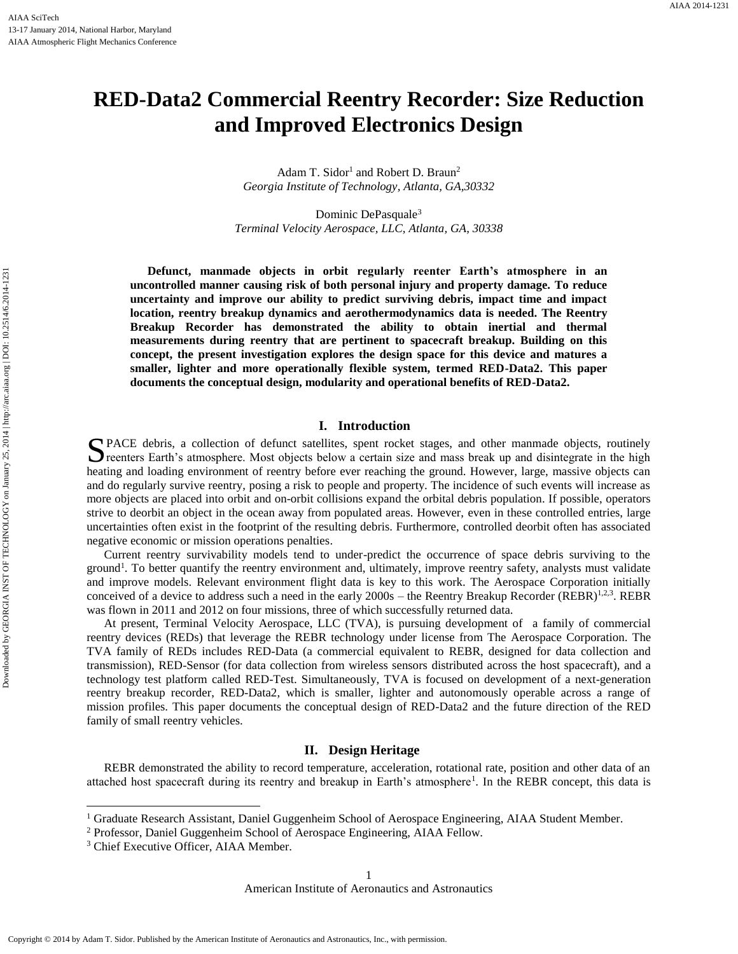# **RED-Data2 Commercial Reentry Recorder: Size Reduction and Improved Electronics Design**

Adam T. Sidor<sup>1</sup> and Robert D. Braun<sup>2</sup> *Georgia Institute of Technology, Atlanta, GA,30332*

Dominic DePasquale<sup>3</sup> *Terminal Velocity Aerospace, LLC, Atlanta, GA, 30338*

**Defunct, manmade objects in orbit regularly reenter Earth's atmosphere in an uncontrolled manner causing risk of both personal injury and property damage. To reduce uncertainty and improve our ability to predict surviving debris, impact time and impact location, reentry breakup dynamics and aerothermodynamics data is needed. The Reentry Breakup Recorder has demonstrated the ability to obtain inertial and thermal measurements during reentry that are pertinent to spacecraft breakup. Building on this concept, the present investigation explores the design space for this device and matures a smaller, lighter and more operationally flexible system, termed RED-Data2. This paper documents the conceptual design, modularity and operational benefits of RED-Data2.**

# **I. Introduction**

PACE debris, a collection of defunct satellites, spent rocket stages, and other manmade objects, routinely PACE debris, a collection of defunct satellites, spent rocket stages, and other manmade objects, routinely reenters Earth's atmosphere. Most objects below a certain size and mass break up and disintegrate in the high heating and loading environment of reentry before ever reaching the ground. However, large, massive objects can and do regularly survive reentry, posing a risk to people and property. The incidence of such events will increase as more objects are placed into orbit and on-orbit collisions expand the orbital debris population. If possible, operators strive to deorbit an object in the ocean away from populated areas. However, even in these controlled entries, large uncertainties often exist in the footprint of the resulting debris. Furthermore, controlled deorbit often has associated negative economic or mission operations penalties.

Current reentry survivability models tend to under-predict the occurrence of space debris surviving to the ground<sup>1</sup>. To better quantify the reentry environment and, ultimately, improve reentry safety, analysts must validate and improve models. Relevant environment flight data is key to this work. The Aerospace Corporation initially conceived of a device to address such a need in the early 2000s – the Reentry Breakup Recorder (REBR)<sup>1,2,3</sup>. REBR was flown in 2011 and 2012 on four missions, three of which successfully returned data.

At present, Terminal Velocity Aerospace, LLC (TVA), is pursuing development of a family of commercial reentry devices (REDs) that leverage the REBR technology under license from The Aerospace Corporation. The TVA family of REDs includes RED-Data (a commercial equivalent to REBR, designed for data collection and transmission), RED-Sensor (for data collection from wireless sensors distributed across the host spacecraft), and a technology test platform called RED-Test. Simultaneously, TVA is focused on development of a next-generation reentry breakup recorder, RED-Data2, which is smaller, lighter and autonomously operable across a range of mission profiles. This paper documents the conceptual design of RED-Data2 and the future direction of the RED family of small reentry vehicles.

## **II. Design Heritage**

REBR demonstrated the ability to record temperature, acceleration, rotational rate, position and other data of an attached host spacecraft during its reentry and breakup in Earth's atmosphere<sup>1</sup>. In the REBR concept, this data is

<sup>3</sup> Chief Executive Officer, AIAA Member.

 $\overline{\phantom{a}}$ 

<sup>&</sup>lt;sup>1</sup> Graduate Research Assistant, Daniel Guggenheim School of Aerospace Engineering, AIAA Student Member.

<sup>2</sup> Professor, Daniel Guggenheim School of Aerospace Engineering, AIAA Fellow.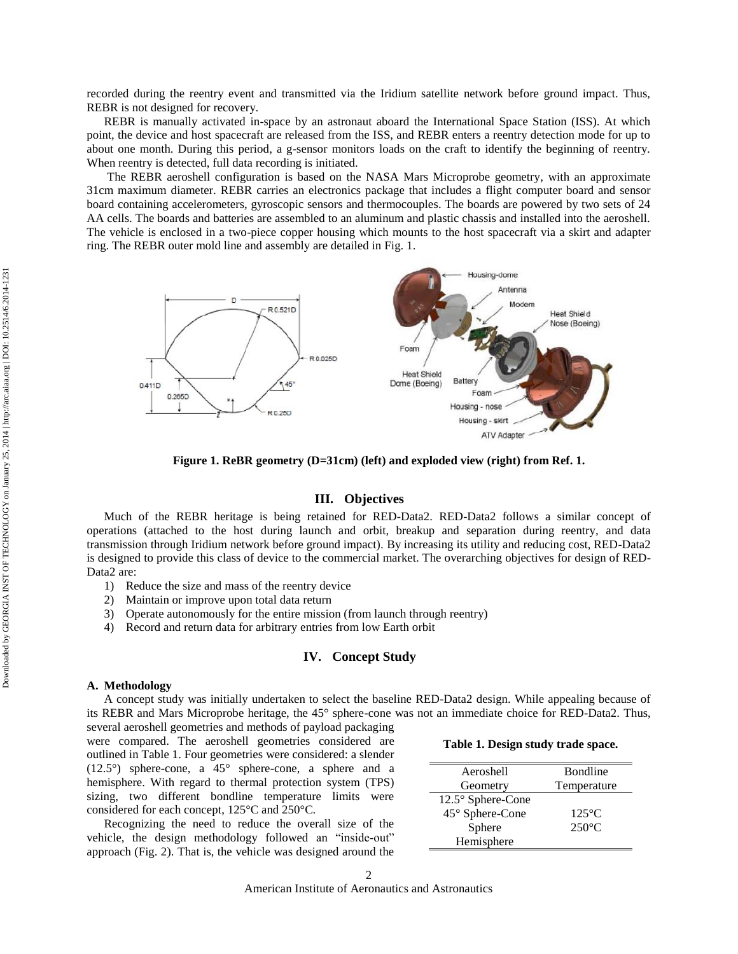recorded during the reentry event and transmitted via the Iridium satellite network before ground impact. Thus, REBR is not designed for recovery.

REBR is manually activated in-space by an astronaut aboard the International Space Station (ISS). At which point, the device and host spacecraft are released from the ISS, and REBR enters a reentry detection mode for up to about one month. During this period, a g-sensor monitors loads on the craft to identify the beginning of reentry. When reentry is detected, full data recording is initiated.

The REBR aeroshell configuration is based on the NASA Mars Microprobe geometry, with an approximate 31cm maximum diameter. REBR carries an electronics package that includes a flight computer board and sensor board containing accelerometers, gyroscopic sensors and thermocouples. The boards are powered by two sets of 24 AA cells. The boards and batteries are assembled to an aluminum and plastic chassis and installed into the aeroshell. The vehicle is enclosed in a two-piece copper housing which mounts to the host spacecraft via a skirt and adapter ring. The REBR outer mold line and assembly are detailed in [Fig.](#page-1-0) 1.



**Figure 1. ReBR geometry (D=31cm) (left) and exploded view (right) from Ref. 1.**

# **III. Objectives**

<span id="page-1-0"></span>Much of the REBR heritage is being retained for RED-Data2. RED-Data2 follows a similar concept of operations (attached to the host during launch and orbit, breakup and separation during reentry, and data transmission through Iridium network before ground impact). By increasing its utility and reducing cost, RED-Data2 is designed to provide this class of device to the commercial market. The overarching objectives for design of RED-Data2 are:

- 1) Reduce the size and mass of the reentry device
- 2) Maintain or improve upon total data return
- 3) Operate autonomously for the entire mission (from launch through reentry)
- 4) Record and return data for arbitrary entries from low Earth orbit

# **IV. Concept Study**

#### **A. Methodology**

A concept study was initially undertaken to select the baseline RED-Data2 design. While appealing because of its REBR and Mars Microprobe heritage, the 45° sphere-cone was not an immediate choice for RED-Data2. Thus, several aeroshell geometries and methods of payload packaging

were compared. The aeroshell geometries considered are outlined in [Table 1.](#page-1-1) Four geometries were considered: a slender (12.5°) sphere-cone, a 45° sphere-cone, a sphere and a hemisphere. With regard to thermal protection system (TPS) sizing, two different bondline temperature limits were considered for each concept, 125°C and 250°C.

Recognizing the need to reduce the overall size of the vehicle, the design methodology followed an "inside-out" approach [\(Fig.](#page-2-0) 2). That is, the vehicle was designed around the

#### <span id="page-1-1"></span>**Table 1. Design study trade space.**

| Aeroshell         | <b>B</b> ondline |
|-------------------|------------------|
| Geometry          | Temperature      |
| 12.5° Sphere-Cone |                  |
| 45° Sphere-Cone   | $125^{\circ}$ C  |
| Sphere            | $250^{\circ}$ C  |
| Hemisphere        |                  |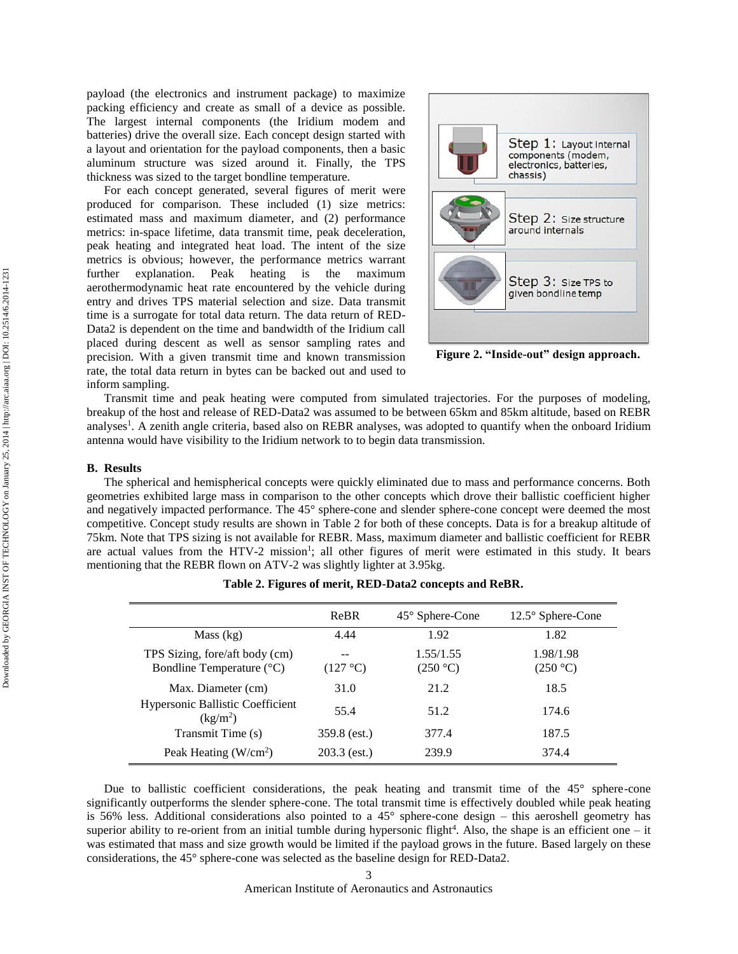payload (the electronics and instrument package) to maximize packing efficiency and create as small of a device as possible. The largest internal components (the Iridium modem and batteries) drive the overall size. Each concept design started with a layout and orientation for the payload components, then a basic aluminum structure was sized around it. Finally, the TPS thickness was sized to the target bondline temperature.

For each concept generated, several figures of merit were produced for comparison. These included (1) size metrics: estimated mass and maximum diameter, and (2) performance metrics: in-space lifetime, data transmit time, peak deceleration, peak heating and integrated heat load. The intent of the size metrics is obvious; however, the performance metrics warrant further explanation. Peak heating is the maximum aerothermodynamic heat rate encountered by the vehicle during entry and drives TPS material selection and size. Data transmit time is a surrogate for total data return. The data return of RED-Data2 is dependent on the time and bandwidth of the Iridium call placed during descent as well as sensor sampling rates and precision. With a given transmit time and known transmission rate, the total data return in bytes can be backed out and used to inform sampling.

<span id="page-2-0"></span>

**Figure 2. "Inside-out" design approach.**

Transmit time and peak heating were computed from simulated trajectories. For the purposes of modeling, breakup of the host and release of RED-Data2 was assumed to be between 65km and 85km altitude, based on REBR analyses<sup>1</sup>. A zenith angle criteria, based also on REBR analyses, was adopted to quantify when the onboard Iridium antenna would have visibility to the Iridium network to to begin data transmission.

#### **B. Results**

The spherical and hemispherical concepts were quickly eliminated due to mass and performance concerns. Both geometries exhibited large mass in comparison to the other concepts which drove their ballistic coefficient higher and negatively impacted performance. The 45° sphere-cone and slender sphere-cone concept were deemed the most competitive. Concept study results are shown in [Table 2](#page-2-1) for both of these concepts. Data is for a breakup altitude of 75km. Note that TPS sizing is not available for REBR. Mass, maximum diameter and ballistic coefficient for REBR are actual values from the HTV-2 mission<sup>1</sup>; all other figures of merit were estimated in this study. It bears mentioning that the REBR flown on ATV-2 was slightly lighter at 3.95kg.

<span id="page-2-1"></span>

|                                                                 | ReBR           | $45^{\circ}$ Sphere-Cone | $12.5^\circ$ Sphere-Cone |
|-----------------------------------------------------------------|----------------|--------------------------|--------------------------|
| Mass (kg)                                                       | 4.44           | 1.92                     | 1.82                     |
| TPS Sizing, fore/aft body (cm)<br>Bondline Temperature (°C)     | (127 °C)       | 1.55/1.55<br>(250 °C)    | 1.98/1.98<br>(250 °C)    |
| Max. Diameter (cm)                                              | 31.0           | 21.2                     | 18.5                     |
| <b>Hypersonic Ballistic Coefficient</b><br>(kg/m <sup>2</sup> ) | 55.4           | 51.2                     | 174.6                    |
| Transmit Time (s)                                               | 359.8 (est.)   | 377.4                    | 187.5                    |
| Peak Heating $(W/cm2)$                                          | $203.3$ (est.) | 239.9                    | 374.4                    |

|  |  | Table 2. Figures of merit, RED-Data2 concepts and ReBR. |  |  |
|--|--|---------------------------------------------------------|--|--|
|  |  |                                                         |  |  |

Due to ballistic coefficient considerations, the peak heating and transmit time of the 45° sphere-cone significantly outperforms the slender sphere-cone. The total transmit time is effectively doubled while peak heating is 56% less. Additional considerations also pointed to a 45° sphere-cone design – this aeroshell geometry has superior ability to re-orient from an initial tumble during hypersonic flight<sup>4</sup>. Also, the shape is an efficient one  $-$  it was estimated that mass and size growth would be limited if the payload grows in the future. Based largely on these considerations, the 45° sphere-cone was selected as the baseline design for RED-Data2.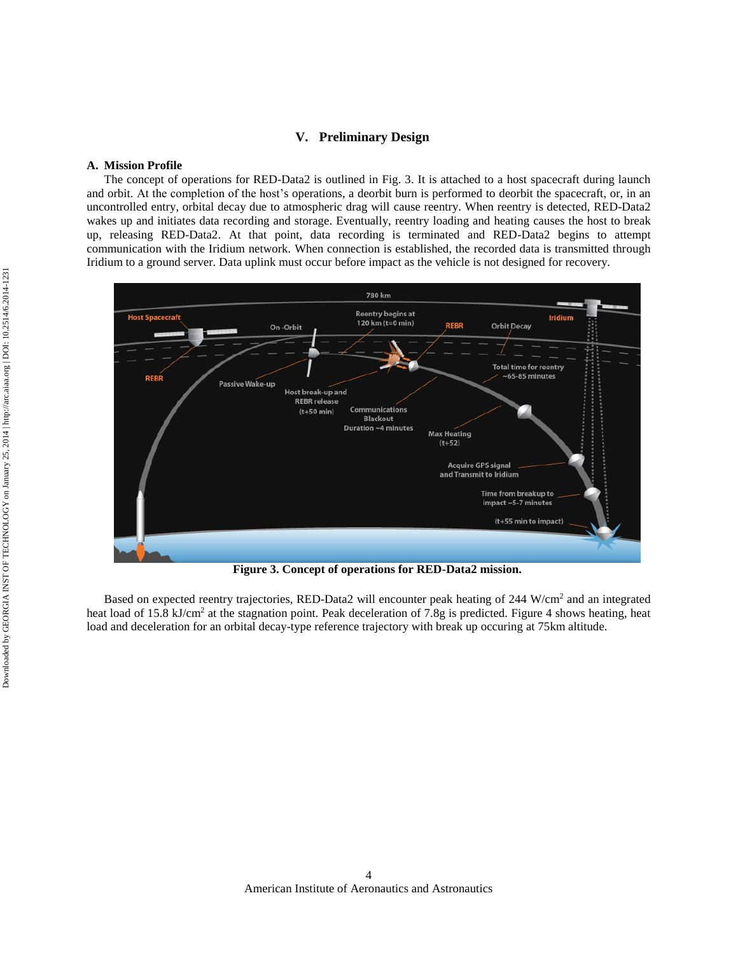# **V. Preliminary Design**

# **A. Mission Profile**

The concept of operations for RED-Data2 is outlined in [Fig.](#page-3-0) 3. It is attached to a host spacecraft during launch and orbit. At the completion of the host's operations, a deorbit burn is performed to deorbit the spacecraft, or, in an uncontrolled entry, orbital decay due to atmospheric drag will cause reentry. When reentry is detected, RED-Data2 wakes up and initiates data recording and storage. Eventually, reentry loading and heating causes the host to break up, releasing RED-Data2. At that point, data recording is terminated and RED-Data2 begins to attempt communication with the Iridium network. When connection is established, the recorded data is transmitted through Iridium to a ground server. Data uplink must occur before impact as the vehicle is not designed for recovery.



**Figure 3. Concept of operations for RED-Data2 mission.**

<span id="page-3-0"></span>Based on expected reentry trajectories, RED-Data2 will encounter peak heating of 244 W/cm<sup>2</sup> and an integrated heat load of 15.8 kJ/cm<sup>2</sup> at the stagnation point. Peak deceleration of 7.8g is predicted. [Figure 4](#page-4-0) shows heating, heat load and deceleration for an orbital decay-type reference trajectory with break up occuring at 75km altitude.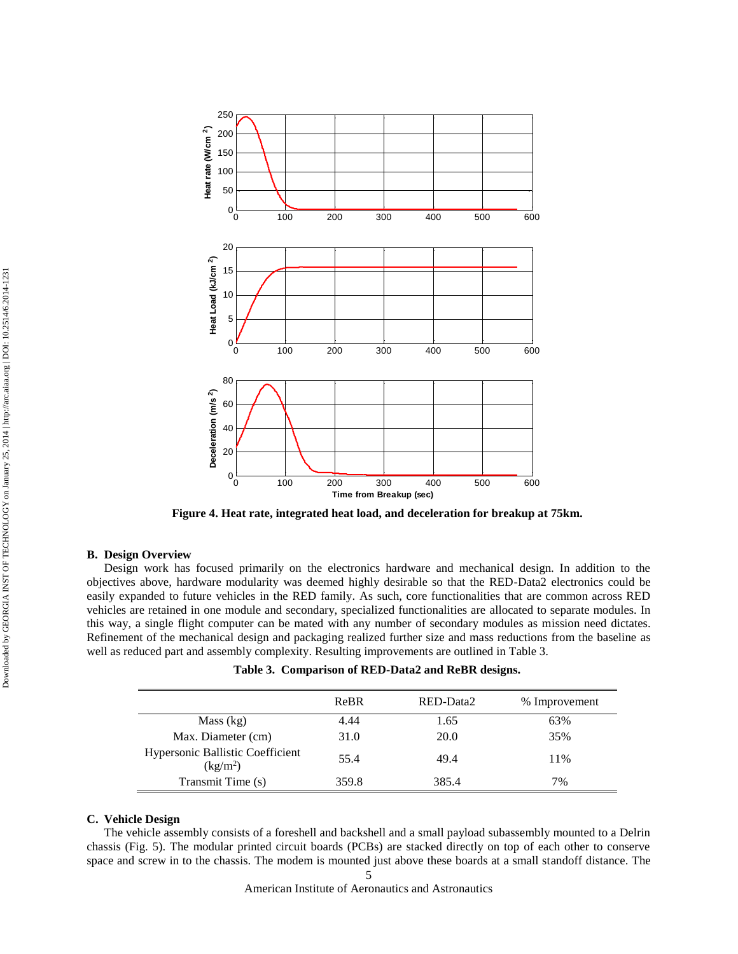

<span id="page-4-0"></span>**Figure 4. Heat rate, integrated heat load, and deceleration for breakup at 75km.**

## **B. Design Overview**

Design work has focused primarily on the electronics hardware and mechanical design. In addition to the objectives above, hardware modularity was deemed highly desirable so that the RED-Data2 electronics could be easily expanded to future vehicles in the RED family. As such, core functionalities that are common across RED vehicles are retained in one module and secondary, specialized functionalities are allocated to separate modules. In this way, a single flight computer can be mated with any number of secondary modules as mission need dictates. Refinement of the mechanical design and packaging realized further size and mass reductions from the baseline as well as reduced part and assembly complexity. Resulting improvements are outlined in [Table 3.](#page-4-1) Download by GEORGIA INSTRUCTED CONTROL Internal and the specific technology of the specific of the specific org the specific org that the specific and the specific org the specific org that the specific arc. The specific o

<span id="page-4-1"></span>

|                                                          | ReBR  | RED-Data2   | % Improvement |
|----------------------------------------------------------|-------|-------------|---------------|
| Mass (kg)                                                | 4.44  | 1.65        | 63%           |
| Max. Diameter (cm)                                       | 31.0  | <b>20.0</b> | 35%           |
| Hypersonic Ballistic Coefficient<br>(kg/m <sup>2</sup> ) | 55.4  | 49.4        | 11%           |
| Transmit Time (s)                                        | 359.8 | 385.4       | 7%            |

|  |  | Table 3. Comparison of RED-Data2 and ReBR designs. |  |
|--|--|----------------------------------------------------|--|
|--|--|----------------------------------------------------|--|

# **C. Vehicle Design**

The vehicle assembly consists of a foreshell and backshell and a small payload subassembly mounted to a Delrin chassis [\(Fig.](#page-5-0) 5). The modular printed circuit boards (PCBs) are stacked directly on top of each other to conserve space and screw in to the chassis. The modem is mounted just above these boards at a small standoff distance. The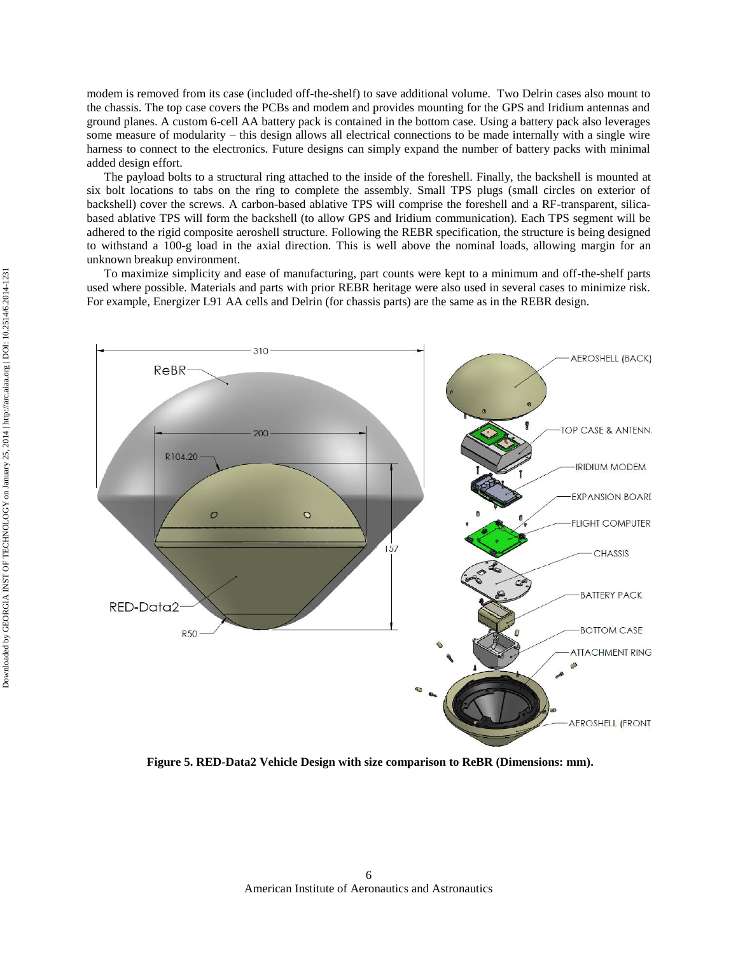modem is removed from its case (included off-the-shelf) to save additional volume. Two Delrin cases also mount to the chassis. The top case covers the PCBs and modem and provides mounting for the GPS and Iridium antennas and ground planes. A custom 6-cell AA battery pack is contained in the bottom case. Using a battery pack also leverages some measure of modularity – this design allows all electrical connections to be made internally with a single wire harness to connect to the electronics. Future designs can simply expand the number of battery packs with minimal added design effort.

The payload bolts to a structural ring attached to the inside of the foreshell. Finally, the backshell is mounted at six bolt locations to tabs on the ring to complete the assembly. Small TPS plugs (small circles on exterior of backshell) cover the screws. A carbon-based ablative TPS will comprise the foreshell and a RF-transparent, silicabased ablative TPS will form the backshell (to allow GPS and Iridium communication). Each TPS segment will be adhered to the rigid composite aeroshell structure. Following the REBR specification, the structure is being designed to withstand a 100-g load in the axial direction. This is well above the nominal loads, allowing margin for an unknown breakup environment.

To maximize simplicity and ease of manufacturing, part counts were kept to a minimum and off-the-shelf parts used where possible. Materials and parts with prior REBR heritage were also used in several cases to minimize risk. For example, Energizer L91 AA cells and Delrin (for chassis parts) are the same as in the REBR design.



<span id="page-5-0"></span>**Figure 5. RED-Data2 Vehicle Design with size comparison to ReBR (Dimensions: mm).**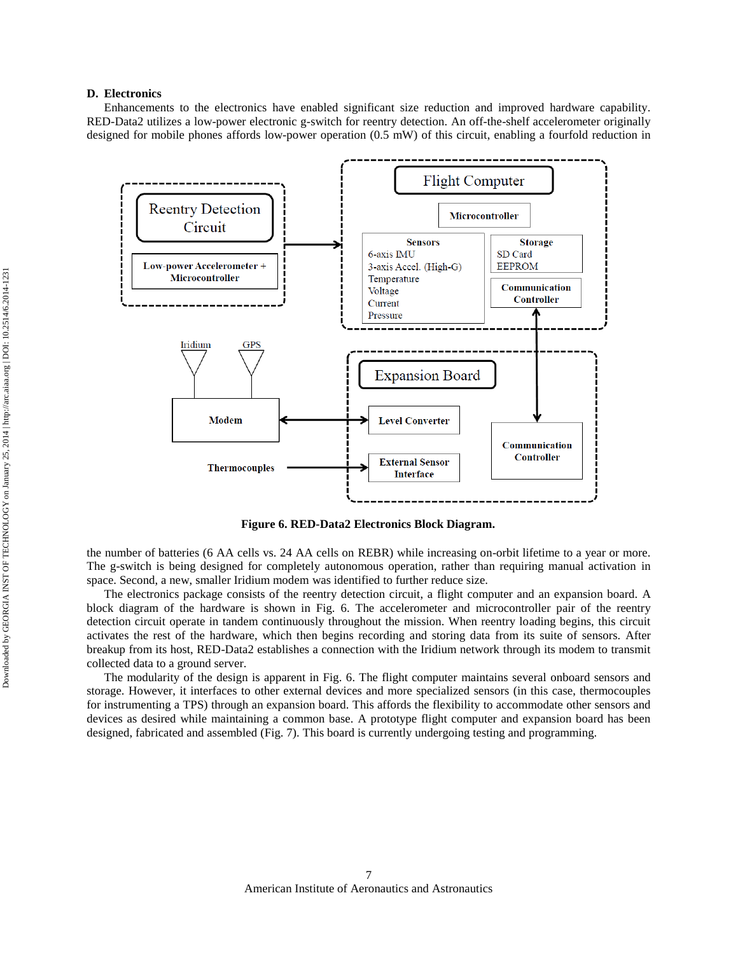# **D. Electronics**

Enhancements to the electronics have enabled significant size reduction and improved hardware capability. RED-Data2 utilizes a low-power electronic g-switch for reentry detection. An off-the-shelf accelerometer originally designed for mobile phones affords low-power operation (0.5 mW) of this circuit, enabling a fourfold reduction in



**Figure 6. RED-Data2 Electronics Block Diagram.**

<span id="page-6-0"></span>the number of batteries (6 AA cells vs. 24 AA cells on REBR) while increasing on-orbit lifetime to a year or more. The g-switch is being designed for completely autonomous operation, rather than requiring manual activation in space. Second, a new, smaller Iridium modem was identified to further reduce size.

The electronics package consists of the reentry detection circuit, a flight computer and an expansion board. A block diagram of the hardware is shown in [Fig.](#page-6-0) 6. The accelerometer and microcontroller pair of the reentry detection circuit operate in tandem continuously throughout the mission. When reentry loading begins, this circuit activates the rest of the hardware, which then begins recording and storing data from its suite of sensors. After breakup from its host, RED-Data2 establishes a connection with the Iridium network through its modem to transmit collected data to a ground server.

The modularity of the design is apparent in [Fig.](#page-6-0) 6. The flight computer maintains several onboard sensors and storage. However, it interfaces to other external devices and more specialized sensors (in this case, thermocouples for instrumenting a TPS) through an expansion board. This affords the flexibility to accommodate other sensors and devices as desired while maintaining a common base. A prototype flight computer and expansion board has been designed, fabricated and assembled [\(Fig.](#page-7-0) 7). This board is currently undergoing testing and programming.